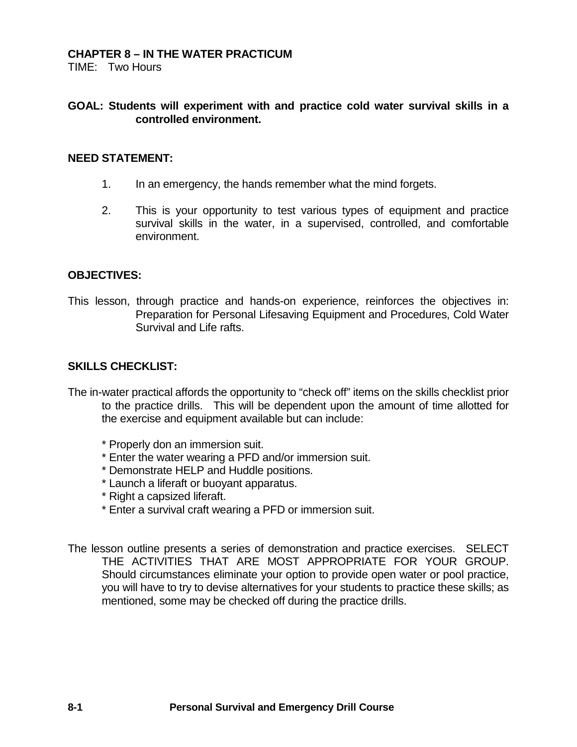### **CHAPTER 8 – IN THE WATER PRACTICUM**

TIME: Two Hours

## **GOAL: Students will experiment with and practice cold water survival skills in a controlled environment.**

#### **NEED STATEMENT:**

- 1. In an emergency, the hands remember what the mind forgets.
- 2. This is your opportunity to test various types of equipment and practice survival skills in the water, in a supervised, controlled, and comfortable environment.

#### **OBJECTIVES:**

This lesson, through practice and hands-on experience, reinforces the objectives in: Preparation for Personal Lifesaving Equipment and Procedures, Cold Water Survival and Life rafts.

#### **SKILLS CHECKLIST:**

- The in-water practical affords the opportunity to "check off" items on the skills checklist prior to the practice drills. This will be dependent upon the amount of time allotted for the exercise and equipment available but can include:
	- \* Properly don an immersion suit.
	- \* Enter the water wearing a PFD and/or immersion suit.
	- \* Demonstrate HELP and Huddle positions.
	- \* Launch a liferaft or buoyant apparatus.
	- \* Right a capsized liferaft.
	- \* Enter a survival craft wearing a PFD or immersion suit.

The lesson outline presents a series of demonstration and practice exercises. SELECT THE ACTIVITIES THAT ARE MOST APPROPRIATE FOR YOUR GROUP. Should circumstances eliminate your option to provide open water or pool practice, you will have to try to devise alternatives for your students to practice these skills; as mentioned, some may be checked off during the practice drills.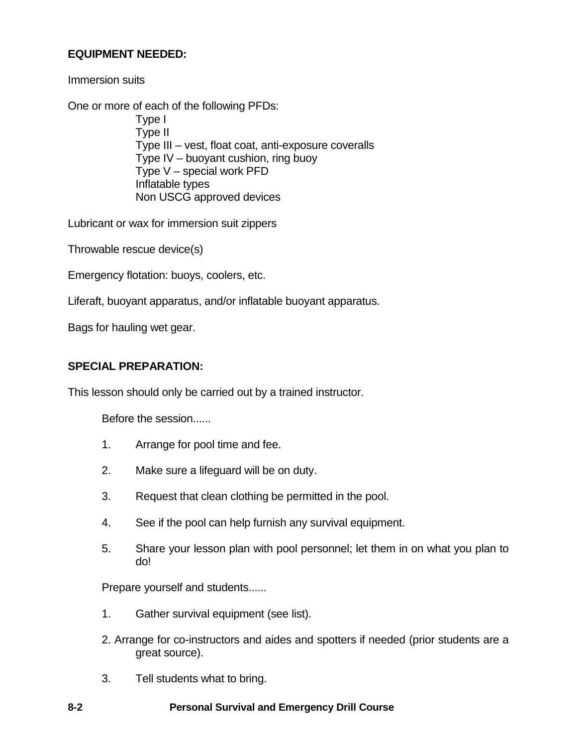# **EQUIPMENT NEEDED:**

Immersion suits

One or more of each of the following PFDs:

Type I Type II Type III – vest, float coat, anti-exposure coveralls Type IV – buoyant cushion, ring buoy Type V – special work PFD Inflatable types Non USCG approved devices

Lubricant or wax for immersion suit zippers

Throwable rescue device(s)

Emergency flotation: buoys, coolers, etc.

Liferaft, buoyant apparatus, and/or inflatable buoyant apparatus.

Bags for hauling wet gear.

### **SPECIAL PREPARATION:**

This lesson should only be carried out by a trained instructor.

Before the session......

- 1. Arrange for pool time and fee.
- 2. Make sure a lifeguard will be on duty.
- 3. Request that clean clothing be permitted in the pool.
- 4. See if the pool can help furnish any survival equipment.
- 5. Share your lesson plan with pool personnel; let them in on what you plan to do!

Prepare yourself and students......

- 1. Gather survival equipment (see list).
- 2. Arrange for co-instructors and aides and spotters if needed (prior students are a great source).
- 3. Tell students what to bring.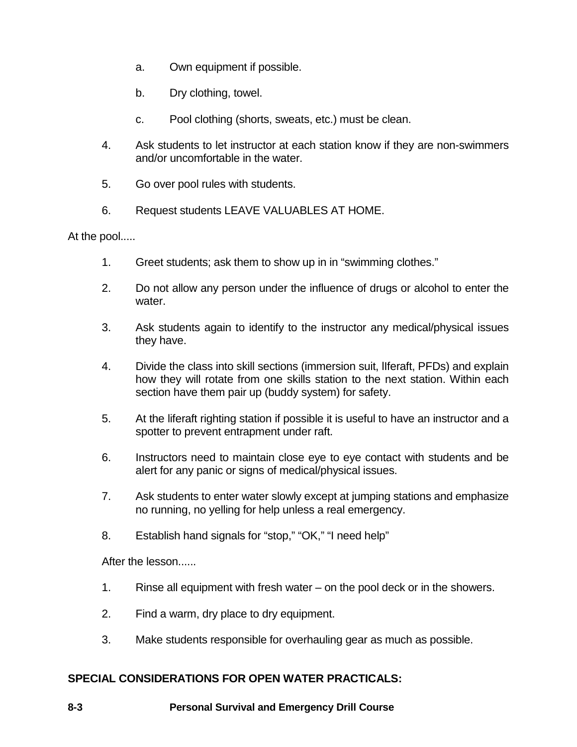- a. Own equipment if possible.
- b. Dry clothing, towel.
- c. Pool clothing (shorts, sweats, etc.) must be clean.
- 4. Ask students to let instructor at each station know if they are non-swimmers and/or uncomfortable in the water.
- 5. Go over pool rules with students.
- 6. Request students LEAVE VALUABLES AT HOME.

At the pool.....

- 1. Greet students; ask them to show up in in "swimming clothes."
- 2. Do not allow any person under the influence of drugs or alcohol to enter the water.
- 3. Ask students again to identify to the instructor any medical/physical issues they have.
- 4. Divide the class into skill sections (immersion suit, lIferaft, PFDs) and explain how they will rotate from one skills station to the next station. Within each section have them pair up (buddy system) for safety.
- 5. At the liferaft righting station if possible it is useful to have an instructor and a spotter to prevent entrapment under raft.
- 6. Instructors need to maintain close eye to eye contact with students and be alert for any panic or signs of medical/physical issues.
- 7. Ask students to enter water slowly except at jumping stations and emphasize no running, no yelling for help unless a real emergency.
- 8. Establish hand signals for "stop," "OK," "I need help"

After the lesson......

- 1. Rinse all equipment with fresh water on the pool deck or in the showers.
- 2. Find a warm, dry place to dry equipment.
- 3. Make students responsible for overhauling gear as much as possible.

## **SPECIAL CONSIDERATIONS FOR OPEN WATER PRACTICALS:**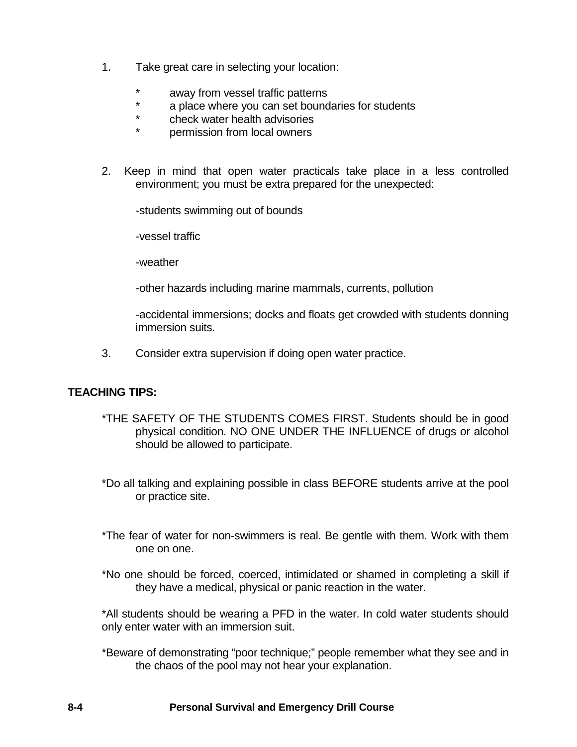- 1. Take great care in selecting your location:
	- \* away from vessel traffic patterns<br>\* a place where you can set bound
	- \* a place where you can set boundaries for students
	- \* check water health advisories
	- permission from local owners
- 2. Keep in mind that open water practicals take place in a less controlled environment; you must be extra prepared for the unexpected:

-students swimming out of bounds

-vessel traffic

-weather

-other hazards including marine mammals, currents, pollution

-accidental immersions; docks and floats get crowded with students donning immersion suits.

3. Consider extra supervision if doing open water practice.

## **TEACHING TIPS:**

- \*THE SAFETY OF THE STUDENTS COMES FIRST. Students should be in good physical condition. NO ONE UNDER THE INFLUENCE of drugs or alcohol should be allowed to participate.
- \*Do all talking and explaining possible in class BEFORE students arrive at the pool or practice site.
- \*The fear of water for non-swimmers is real. Be gentle with them. Work with them one on one.
- \*No one should be forced, coerced, intimidated or shamed in completing a skill if they have a medical, physical or panic reaction in the water.

\*All students should be wearing a PFD in the water. In cold water students should only enter water with an immersion suit.

\*Beware of demonstrating "poor technique;" people remember what they see and in the chaos of the pool may not hear your explanation.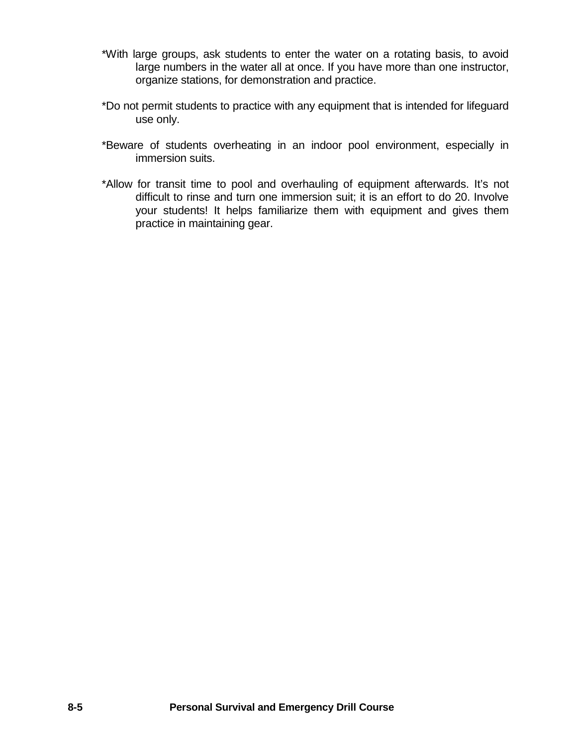- \*With large groups, ask students to enter the water on a rotating basis, to avoid large numbers in the water all at once. If you have more than one instructor, organize stations, for demonstration and practice.
- \*Do not permit students to practice with any equipment that is intended for lifeguard use only.
- \*Beware of students overheating in an indoor pool environment, especially in immersion suits.
- \*Allow for transit time to pool and overhauling of equipment afterwards. It's not difficult to rinse and turn one immersion suit; it is an effort to do 20. Involve your students! It helps familiarize them with equipment and gives them practice in maintaining gear.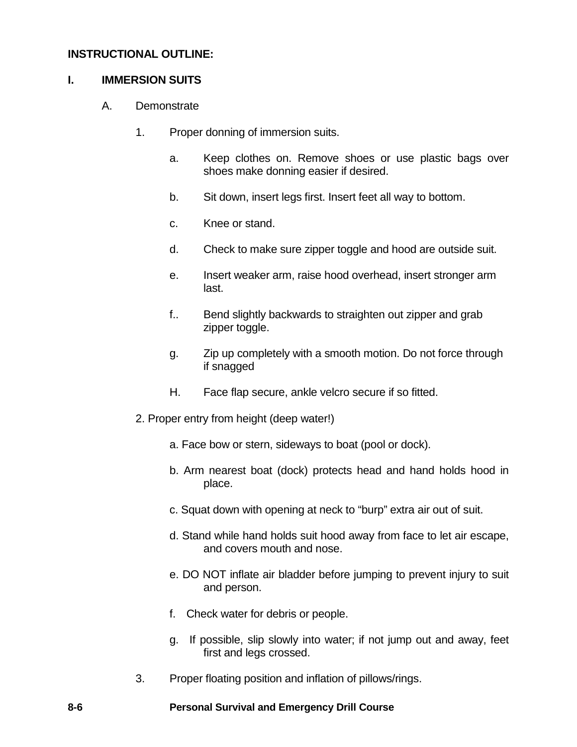## **INSTRUCTIONAL OUTLINE:**

## **I. IMMERSION SUITS**

- A. Demonstrate
	- 1. Proper donning of immersion suits.
		- a. Keep clothes on. Remove shoes or use plastic bags over shoes make donning easier if desired.
		- b. Sit down, insert legs first. Insert feet all way to bottom.
		- c. Knee or stand.
		- d. Check to make sure zipper toggle and hood are outside suit.
		- e. Insert weaker arm, raise hood overhead, insert stronger arm last.
		- f.. Bend slightly backwards to straighten out zipper and grab zipper toggle.
		- g. Zip up completely with a smooth motion. Do not force through if snagged
		- H. Face flap secure, ankle velcro secure if so fitted.
	- 2. Proper entry from height (deep water!)
		- a. Face bow or stern, sideways to boat (pool or dock).
		- b. Arm nearest boat (dock) protects head and hand holds hood in place.
		- c. Squat down with opening at neck to "burp" extra air out of suit.
		- d. Stand while hand holds suit hood away from face to let air escape, and covers mouth and nose.
		- e. DO NOT inflate air bladder before jumping to prevent injury to suit and person.
		- f. Check water for debris or people.
		- g. If possible, slip slowly into water; if not jump out and away, feet first and legs crossed.
	- 3. Proper floating position and inflation of pillows/rings.

### **8-6 Personal Survival and Emergency Drill Course**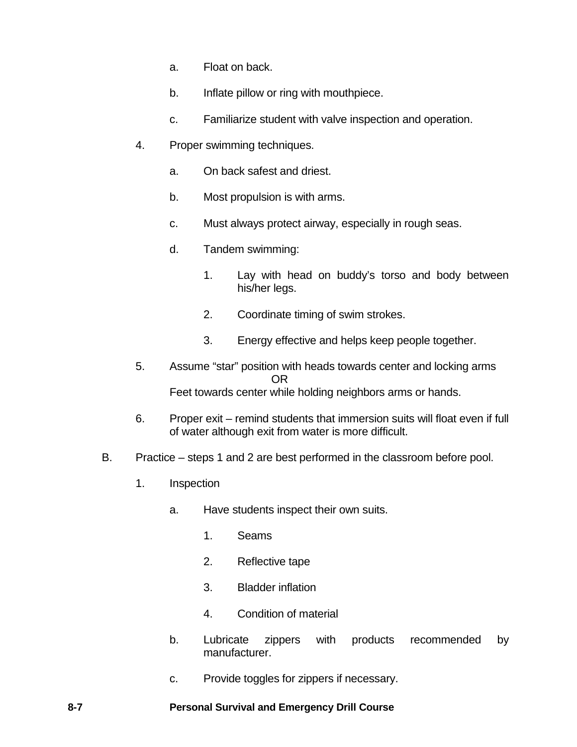- a. Float on back.
- b. Inflate pillow or ring with mouthpiece.
- c. Familiarize student with valve inspection and operation.
- 4. Proper swimming techniques.
	- a. On back safest and driest.
	- b. Most propulsion is with arms.
	- c. Must always protect airway, especially in rough seas.
	- d. Tandem swimming:
		- 1. Lay with head on buddy's torso and body between his/her legs.
		- 2. Coordinate timing of swim strokes.
		- 3. Energy effective and helps keep people together.
- 5. Assume "star" position with heads towards center and locking arms OR Feet towards center while holding neighbors arms or hands.
- 6. Proper exit remind students that immersion suits will float even if full of water although exit from water is more difficult.
- B. Practice steps 1 and 2 are best performed in the classroom before pool.
	- 1. Inspection
		- a. Have students inspect their own suits.
			- 1. Seams
			- 2. Reflective tape
			- 3. Bladder inflation
			- 4. Condition of material
		- b. Lubricate zippers with products recommended by manufacturer.
		- c. Provide toggles for zippers if necessary.

### **8-7 Personal Survival and Emergency Drill Course**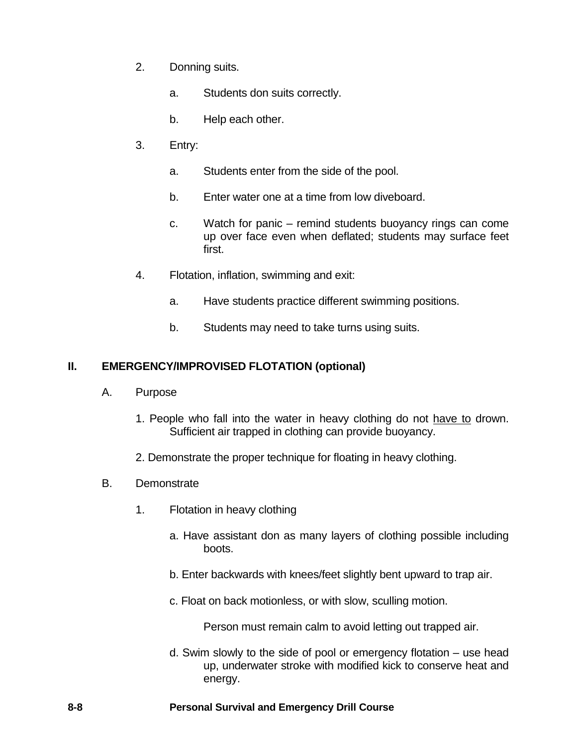- 2. Donning suits.
	- a. Students don suits correctly.
	- b. Help each other.
- 3. Entry:
	- a. Students enter from the side of the pool.
	- b. Enter water one at a time from low diveboard.
	- c. Watch for panic remind students buoyancy rings can come up over face even when deflated; students may surface feet first.
- 4. Flotation, inflation, swimming and exit:
	- a. Have students practice different swimming positions.
	- b. Students may need to take turns using suits.

## **II. EMERGENCY/IMPROVISED FLOTATION (optional)**

- A. Purpose
	- 1. People who fall into the water in heavy clothing do not have to drown. Sufficient air trapped in clothing can provide buoyancy.
	- 2. Demonstrate the proper technique for floating in heavy clothing.
- B. Demonstrate
	- 1. Flotation in heavy clothing
		- a. Have assistant don as many layers of clothing possible including boots.
		- b. Enter backwards with knees/feet slightly bent upward to trap air.
		- c. Float on back motionless, or with slow, sculling motion.

Person must remain calm to avoid letting out trapped air.

d. Swim slowly to the side of pool or emergency flotation – use head up, underwater stroke with modified kick to conserve heat and energy.

### **8-8 Personal Survival and Emergency Drill Course**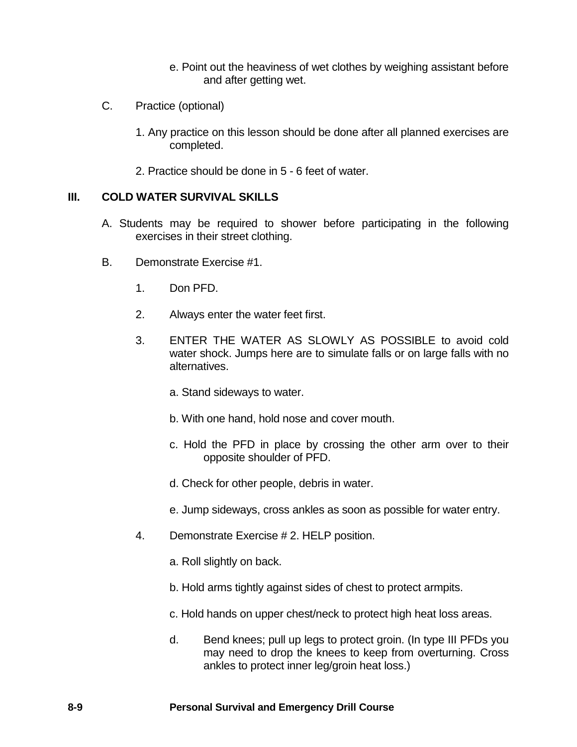- e. Point out the heaviness of wet clothes by weighing assistant before and after getting wet.
- C. Practice (optional)
	- 1. Any practice on this lesson should be done after all planned exercises are completed.
	- 2. Practice should be done in 5 6 feet of water.

## **III. COLD WATER SURVIVAL SKILLS**

- A. Students may be required to shower before participating in the following exercises in their street clothing.
- B. Demonstrate Exercise #1.
	- 1. Don PFD.
	- 2. Always enter the water feet first.
	- 3. ENTER THE WATER AS SLOWLY AS POSSIBLE to avoid cold water shock. Jumps here are to simulate falls or on large falls with no alternatives.
		- a. Stand sideways to water.
		- b. With one hand, hold nose and cover mouth.
		- c. Hold the PFD in place by crossing the other arm over to their opposite shoulder of PFD.
		- d. Check for other people, debris in water.
		- e. Jump sideways, cross ankles as soon as possible for water entry.
	- 4. Demonstrate Exercise # 2. HELP position.
		- a. Roll slightly on back.
		- b. Hold arms tightly against sides of chest to protect armpits.
		- c. Hold hands on upper chest/neck to protect high heat loss areas.
		- d. Bend knees; pull up legs to protect groin. (In type III PFDs you may need to drop the knees to keep from overturning. Cross ankles to protect inner leg/groin heat loss.)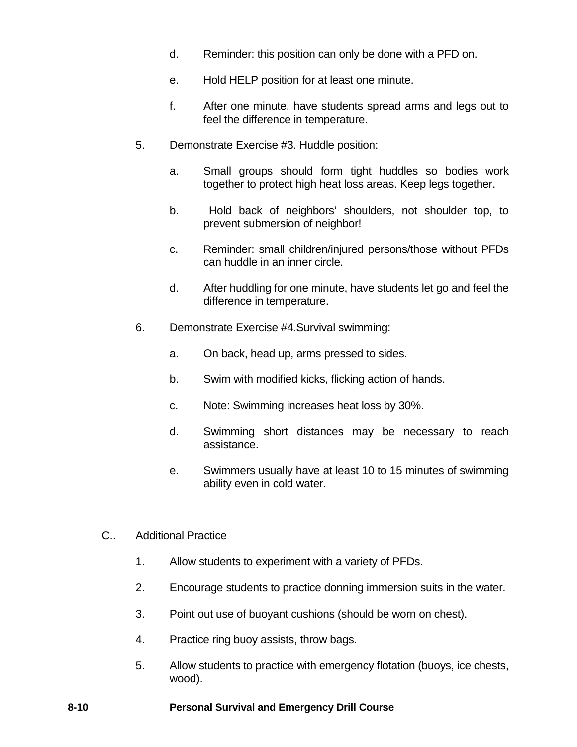- d. Reminder: this position can only be done with a PFD on.
- e. Hold HELP position for at least one minute.
- f. After one minute, have students spread arms and legs out to feel the difference in temperature.
- 5. Demonstrate Exercise #3. Huddle position:
	- a. Small groups should form tight huddles so bodies work together to protect high heat loss areas. Keep legs together.
	- b. Hold back of neighbors' shoulders, not shoulder top, to prevent submersion of neighbor!
	- c. Reminder: small children/injured persons/those without PFDs can huddle in an inner circle.
	- d. After huddling for one minute, have students let go and feel the difference in temperature.
- 6. Demonstrate Exercise #4.Survival swimming:
	- a. On back, head up, arms pressed to sides.
	- b. Swim with modified kicks, flicking action of hands.
	- c. Note: Swimming increases heat loss by 30%.
	- d. Swimming short distances may be necessary to reach assistance.
	- e. Swimmers usually have at least 10 to 15 minutes of swimming ability even in cold water.
- C.. Additional Practice
	- 1. Allow students to experiment with a variety of PFDs.
	- 2. Encourage students to practice donning immersion suits in the water.
	- 3. Point out use of buoyant cushions (should be worn on chest).
	- 4. Practice ring buoy assists, throw bags.
	- 5. Allow students to practice with emergency flotation (buoys, ice chests, wood).

### **8-10 Personal Survival and Emergency Drill Course**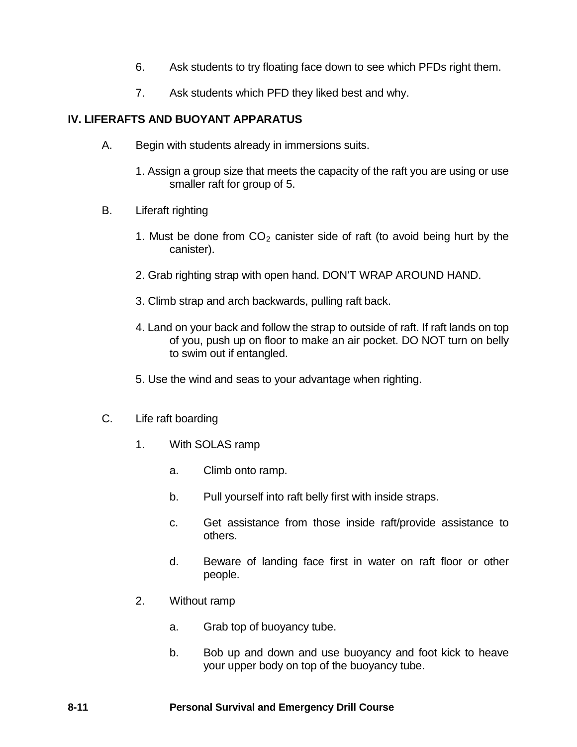- 6. Ask students to try floating face down to see which PFDs right them.
- 7. Ask students which PFD they liked best and why.

## **IV. LIFERAFTS AND BUOYANT APPARATUS**

- A. Begin with students already in immersions suits.
	- 1. Assign a group size that meets the capacity of the raft you are using or use smaller raft for group of 5.
- B. Liferaft righting
	- 1. Must be done from  $CO<sub>2</sub>$  canister side of raft (to avoid being hurt by the canister).
	- 2. Grab righting strap with open hand. DON'T WRAP AROUND HAND.
	- 3. Climb strap and arch backwards, pulling raft back.
	- 4. Land on your back and follow the strap to outside of raft. If raft lands on top of you, push up on floor to make an air pocket. DO NOT turn on belly to swim out if entangled.
	- 5. Use the wind and seas to your advantage when righting.
- C. Life raft boarding
	- 1. With SOLAS ramp
		- a. Climb onto ramp.
		- b. Pull yourself into raft belly first with inside straps.
		- c. Get assistance from those inside raft/provide assistance to others.
		- d. Beware of landing face first in water on raft floor or other people.
	- 2. Without ramp
		- a. Grab top of buoyancy tube.
		- b. Bob up and down and use buoyancy and foot kick to heave your upper body on top of the buoyancy tube.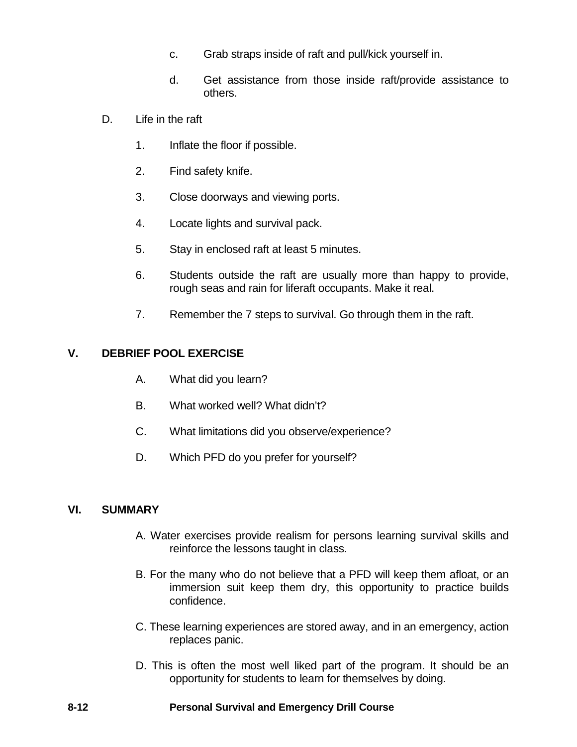- c. Grab straps inside of raft and pull/kick yourself in.
- d. Get assistance from those inside raft/provide assistance to others.
- D. Life in the raft
	- 1. Inflate the floor if possible.
	- 2. Find safety knife.
	- 3. Close doorways and viewing ports.
	- 4. Locate lights and survival pack.
	- 5. Stay in enclosed raft at least 5 minutes.
	- 6. Students outside the raft are usually more than happy to provide, rough seas and rain for liferaft occupants. Make it real.
	- 7. Remember the 7 steps to survival. Go through them in the raft.

## **V. DEBRIEF POOL EXERCISE**

- A. What did you learn?
- B. What worked well? What didn't?
- C. What limitations did you observe/experience?
- D. Which PFD do you prefer for yourself?

## **VI. SUMMARY**

- A. Water exercises provide realism for persons learning survival skills and reinforce the lessons taught in class.
- B. For the many who do not believe that a PFD will keep them afloat, or an immersion suit keep them dry, this opportunity to practice builds confidence.
- C. These learning experiences are stored away, and in an emergency, action replaces panic.
- D. This is often the most well liked part of the program. It should be an opportunity for students to learn for themselves by doing.

#### **8-12 Personal Survival and Emergency Drill Course**